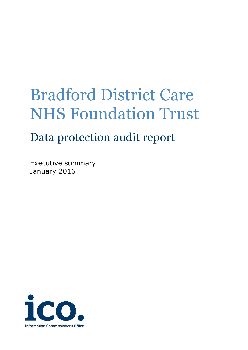# Bradford District Care NHS Foundation Trust

# Data protection audit report

Executive summary January 2016

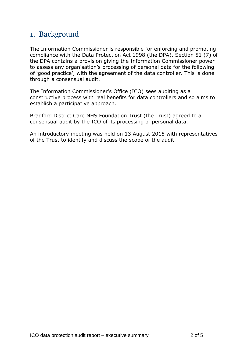#### 1. Background

The Information Commissioner is responsible for enforcing and promoting compliance with the Data Protection Act 1998 (the DPA). Section 51 (7) of the DPA contains a provision giving the Information Commissioner power to assess any organisation's processing of personal data for the following of 'good practice', with the agreement of the data controller. This is done through a consensual audit.

The Information Commissioner's Office (ICO) sees auditing as a constructive process with real benefits for data controllers and so aims to establish a participative approach.

Bradford District Care NHS Foundation Trust (the Trust) agreed to a consensual audit by the ICO of its processing of personal data.

An introductory meeting was held on 13 August 2015 with representatives of the Trust to identify and discuss the scope of the audit.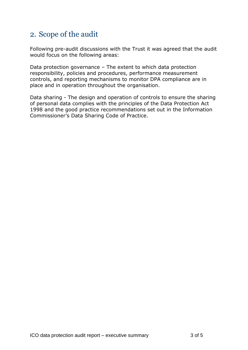#### 2. Scope of the audit

Following pre-audit discussions with the Trust it was agreed that the audit would focus on the following areas:

Data protection governance – The extent to which data protection responsibility, policies and procedures, performance measurement controls, and reporting mechanisms to monitor DPA compliance are in place and in operation throughout the organisation.

Data sharing - The design and operation of controls to ensure the sharing of personal data complies with the principles of the Data Protection Act 1998 and the good practice recommendations set out in the Information Commissioner's Data Sharing Code of Practice.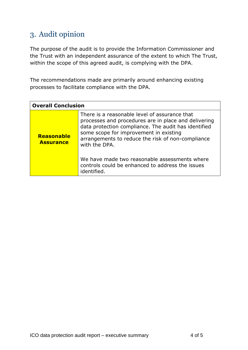## 3. Audit opinion

The purpose of the audit is to provide the Information Commissioner and the Trust with an independent assurance of the extent to which The Trust, within the scope of this agreed audit, is complying with the DPA.

The recommendations made are primarily around enhancing existing processes to facilitate compliance with the DPA.

| <b>Overall Conclusion</b>      |                                                                                                                                                                                                                                                                                                                                                                                                   |
|--------------------------------|---------------------------------------------------------------------------------------------------------------------------------------------------------------------------------------------------------------------------------------------------------------------------------------------------------------------------------------------------------------------------------------------------|
| Reasonable<br><b>Assurance</b> | There is a reasonable level of assurance that<br>processes and procedures are in place and delivering<br>data protection compliance. The audit has identified<br>some scope for improvement in existing<br>arrangements to reduce the risk of non-compliance<br>with the DPA.<br>We have made two reasonable assessments where<br>controls could be enhanced to address the issues<br>identified. |